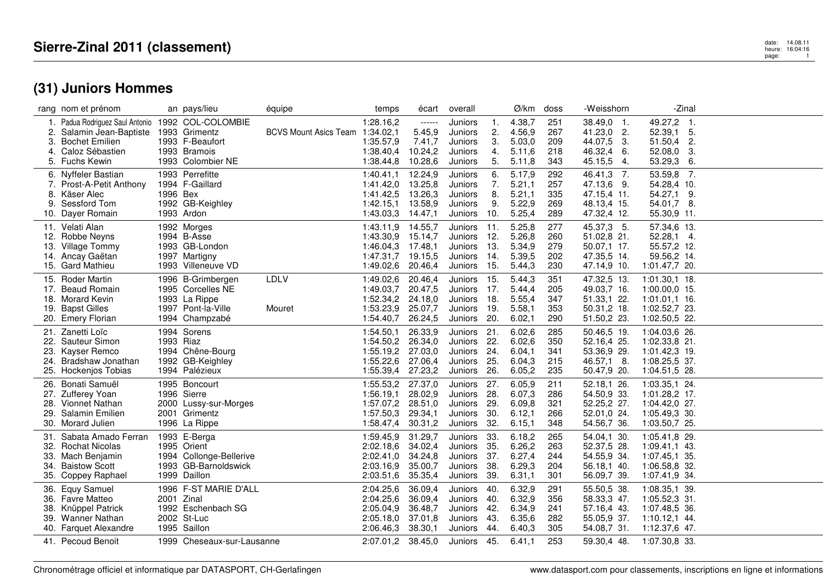## **(31) Juniors Hommes**

|                          | rang nom et prénom                                                                                                  |            | an pays/lieu                                                                                    | équipe                       | temps                                                                         | écart                                               | overall                                             |                                       | Ø/km                                           | doss                            | -Weisshorn                                                                       | -Zinal                                                                                  |  |
|--------------------------|---------------------------------------------------------------------------------------------------------------------|------------|-------------------------------------------------------------------------------------------------|------------------------------|-------------------------------------------------------------------------------|-----------------------------------------------------|-----------------------------------------------------|---------------------------------------|------------------------------------------------|---------------------------------|----------------------------------------------------------------------------------|-----------------------------------------------------------------------------------------|--|
| 2.<br>4.                 | Padua Rodriguez Saul Antonio<br>Salamin Jean-Baptiste<br><b>Bochet Emilien</b><br>Caloz Sébastien<br>5. Fuchs Kewin |            | 1992 COL-COLOMBIE<br>1993 Grimentz<br>1993 F-Beaufort<br>1993 Bramois<br>1993 Colombier NE      | <b>BCVS Mount Asics Team</b> | 1:28.16.2<br>1:34.02,1<br>1:35.57,9<br>1:38.40,4<br>1:38.44,8                 | ------<br>5.45,9<br>7.41,7<br>10.24,2<br>10.28,6    | Juniors<br>Juniors<br>Juniors<br>Juniors<br>Juniors | 1.<br>2.<br>3.<br>4.<br>5.            | 4.38,7<br>4.56,9<br>5.03,0<br>5.11,6<br>5.11,8 | 251<br>267<br>209<br>218<br>343 | 38.49,0 1.<br>41.23,0<br>2.<br>44.07,5<br>-3.<br>46.32,4<br>6.<br>45.15,5<br>-4. | 49.27,2 1.<br>52.39,1<br>5.<br>51.50,4<br>-2.<br>52.08,0<br>3.<br>53.29,3<br>-6.        |  |
| 8.<br>9.                 | 6. Nyffeler Bastian<br>7. Prost-A-Petit Anthony<br>Käser Alec<br>Sessford Tom<br>10. Dayer Romain                   | 1996 Bex   | 1993 Perrefitte<br>1994 F-Gaillard<br>1992 GB-Keighley<br>1993 Ardon                            |                              | 1:40.41.1<br>1:41.42,0 13.25,8<br>1:41.42,5<br>1:42.15,1<br>1:43.03,3         | 12.24,9<br>13.26,3<br>13.58,9<br>14.47,1            | Juniors<br>Juniors<br>Juniors<br>Juniors<br>Juniors | 6.<br>7.<br>8.<br>9.<br>10.           | 5.17,9<br>5.21,1<br>5.21,1<br>5.22,9<br>5.25,4 | 292<br>257<br>335<br>269<br>289 | 46.41,3 7.<br>47.13,6 9.<br>47.15,4 11.<br>48.13,4 15.<br>47.32,4 12.            | 53.59,8 7.<br>54.28,4 10.<br>54.27,1 9.<br>54.01,7 8.<br>55.30,9 11.                    |  |
| 13.                      | 11. Velati Alan<br>12. Robbe Neyns<br>Village Tommy<br>14. Ancay Gaëtan<br>15. Gard Mathieu                         |            | 1992 Morges<br>1994 B-Asse<br>1993 GB-London<br>1997 Martigny<br>1993 Villeneuve VD             |                              | 1:43.11,9<br>1:43.30,9 15.14,7<br>1:46.04,3<br>1:47.31,7 19.15,5<br>1:49.02,6 | 14.55,7<br>17.48.1<br>20.46,4                       | Juniors<br>Juniors<br>Juniors<br>Juniors<br>Juniors | $-11.$<br>-12.<br>-13.<br>-14.<br>15. | 5.25,8<br>5.26,8<br>5.34,9<br>5.39,5<br>5.44,3 | 277<br>260<br>279<br>202<br>230 | 45.37,3 5.<br>51.02,8 21.<br>50.07,1 17.<br>47.35,5 14.<br>47.14,9 10.           | 57.34,6 13.<br>52.28,1 4.<br>55.57,2 12.<br>59.56,2 14.<br>1:01.47,7 20.                |  |
| 17.<br>19.               | 15. Roder Martin<br><b>Beaud Romain</b><br>18. Morard Kevin<br><b>Bapst Gilles</b><br>20. Emery Florian             |            | 1996 B-Grimbergen<br>1995 Corcelles NE<br>1993 La Rippe<br>1997 Pont-la-Ville<br>1994 Champzabé | LDLV<br>Mouret               | 1:49.02,6<br>1:49.03,7<br>1:52.34,2<br>1:53.23,9<br>1:54.40,7                 | 20.46,4<br>20.47,5<br>24.18,0<br>25.07,7<br>26.24,5 | Juniors<br>Juniors<br>Juniors<br>Juniors<br>Juniors | 15.<br>17.<br>18.<br>19.<br>20.       | 5.44,3<br>5.44,4<br>5.55,4<br>5.58,1<br>6.02,1 | 351<br>205<br>347<br>353<br>290 | 47.32,5 13.<br>49.03,7 16.<br>51.33,1 22.<br>50.31,2 18.<br>51.50,2 23.          | $1:01.30,1$ 18.<br>$1:00.00,0$ 15.<br>$1:01.01,1$ 16.<br>1:02.52,7 23.<br>1:02.50,5 22. |  |
| 22.<br>24.<br>25.        | 21. Zanetti Loïc<br><b>Sauteur Simon</b><br>23. Kayser Remco<br>Bradshaw Jonathan<br>Hockenjos Tobias               | 1993 Riaz  | 1994 Sorens<br>1994 Chêne-Bourg<br>1992 GB-Keighley<br>1994 Palézieux                           |                              | 1:54.50,1<br>1:54.50,2<br>1:55.19,2 27.03,0<br>1:55.22,6<br>1:55.39,4         | 26.33,9<br>26.34,0<br>27.06,4<br>27.23,2            | Juniors<br>Juniors<br>Juniors<br>Juniors<br>Juniors | 21.<br>22.<br>24.<br>25.<br>26.       | 6.02,6<br>6.02,6<br>6.04,1<br>6.04,3<br>6.05,2 | 285<br>350<br>341<br>215<br>235 | 50.46,5 19.<br>52.16,4 25.<br>53.36,9 29.<br>46.57,1 8.<br>50.47,9 20.           | 1:04.03,6 26.<br>1:02.33,8 21.<br>1:01.42,3 19.<br>1:08.25,5 37.<br>1:04.51,5 28.       |  |
| 26.<br>27.<br>28.<br>29. | Bonati Samuël<br><b>Zufferey Yoan</b><br>Vionnet Nathan<br>Salamin Emilien<br>30. Morard Julien                     |            | 1995 Boncourt<br>1996 Sierre<br>2000 Lussy-sur-Morges<br>2001 Grimentz<br>1996 La Rippe         |                              | 1:55.53,2 27.37,0<br>1:56.19,1<br>1:57.07,2<br>1:57.50,3<br>1:58.47,4         | 28.02,9<br>28.51,0<br>29.34,1<br>30.31,2            | Juniors<br>Juniors<br>Juniors<br>Juniors<br>Juniors | 27.<br>28.<br>29.<br>30.<br>32.       | 6.05,9<br>6.07,3<br>6.09,8<br>6.12,1<br>6.15,1 | 211<br>286<br>321<br>266<br>348 | 52.18,1 26.<br>54.50,9 33.<br>52.25,2 27.<br>52.01,0 24.<br>54.56,7 36.          | 1:03.35,1 24.<br>1:01.28,2 17.<br>1:04.42,0 27.<br>1:05.49,3 30.<br>1:03.50,7 25.       |  |
| 31.<br>33.<br>34.<br>35. | Sabata Amado Ferran<br>32. Rochat Nicolas<br>Mach Benjamin<br><b>Baistow Scott</b><br>Coppey Raphael                |            | 1993 E-Berga<br>1995 Orient<br>1994 Collonge-Bellerive<br>1993 GB-Barnoldswick<br>1999 Daillon  |                              | 1:59.45,9<br>2:02.18,6 34.02,4<br>2:02.41,0<br>2:03.16,9<br>2:03.51,6         | 31.29,7<br>34.24,8<br>35.00,7<br>35.35,4            | Juniors<br>Juniors<br>Juniors<br>Juniors<br>Juniors | 33.<br>35.<br>37.<br>38.<br>39.       | 6.18,2<br>6.26,2<br>6.27,4<br>6.29,3<br>6.31,1 | 265<br>263<br>244<br>204<br>301 | 54.04,1 30.<br>52.37.5 28.<br>54.55,9 34.<br>56.18.1 40.<br>56.09,7 39.          | 1:05.41,8 29.<br>$1:09.41.1$ 43.<br>$1:07.45,1$ 35.<br>1:06.58,8 32.<br>1:07.41,9 34.   |  |
| 36.<br>38.               | Equy Samuel<br>36. Favre Matteo<br>Knüppel Patrick<br>39. Wanner Nathan<br>40. Farquet Alexandre                    | 2001 Zinal | 1996 F-ST MARIE D'ALL<br>1992 Eschenbach SG<br>2002 St-Luc<br>1995 Saillon                      |                              | 2:04.25,6<br>2:04.25,6<br>2:05.04,9<br>2:05.18,0<br>2:06.46,3                 | 36.09,4<br>36.09,4<br>36.48,7<br>37.01.8<br>38.30,1 | Juniors<br>Juniors<br>Juniors<br>Juniors<br>Juniors | 40.<br>40.<br>42.<br>43.<br>44.       | 6.32,9<br>6.32,9<br>6.34,9<br>6.35,6<br>6.40,3 | 291<br>356<br>241<br>282<br>305 | 55.50,5 38.<br>58.33,3 47.<br>57.16,4 43.<br>55.05,9 37.<br>54.08,7 31.          | 1:08.35,1 39.<br>1:05.52,3 31.<br>1:07.48,5 36.<br>$1:10.12,1$ 44.<br>1:12.37,6 47.     |  |
|                          | 41. Pecoud Benoit                                                                                                   |            | 1999 Cheseaux-sur-Lausanne                                                                      |                              | 2:07.01.2 38.45.0                                                             |                                                     | Juniors                                             | - 45.                                 | 6.41,1                                         | 253                             | 59.30,4 48.                                                                      | 1:07.30.8 33.                                                                           |  |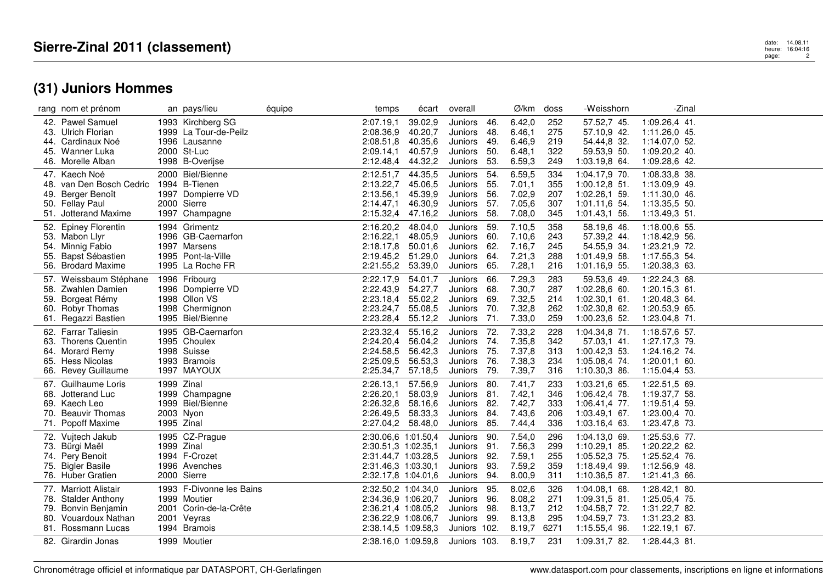## **(31) Juniors Hommes**

| rang nom et prénom                                                                                                | an pays/lieu                                                                                      | équipe | temps                                                                                                           | écart                                               | overall                                                          |                                     | Ø/km                                           | doss                             | -Weisshorn                                                                          | -Zinal                                                                              |  |
|-------------------------------------------------------------------------------------------------------------------|---------------------------------------------------------------------------------------------------|--------|-----------------------------------------------------------------------------------------------------------------|-----------------------------------------------------|------------------------------------------------------------------|-------------------------------------|------------------------------------------------|----------------------------------|-------------------------------------------------------------------------------------|-------------------------------------------------------------------------------------|--|
| 42. Pawel Samuel<br>43. Ulrich Florian<br>44. Cardinaux Noé<br>45. Wanner Luka<br>46. Morelle Alban               | 1993 Kirchberg SG<br>1999 La Tour-de-Peilz<br>1996 Lausanne<br>2000 St-Luc<br>1998 B-Overijse     |        | 2:07.19,1<br>2:08.36,9<br>2:08.51,8<br>2:09.14.1<br>2:12.48,4 44.32,2                                           | 39.02,9<br>40.20,7<br>40.35,6<br>40.57,9            | Juniors 46.<br>Juniors<br>Juniors<br>Juniors<br>Juniors          | 48.<br>-49.<br>50.<br>- 53.         | 6.42,0<br>6.46,1<br>6.46,9<br>6.48,1<br>6.59,3 | 252<br>275<br>219<br>322<br>249  | 57.52,7 45.<br>57.10,9 42.<br>54.44,8 32.<br>59.53,9 50.<br>1:03.19,8 64.           | 1:09.26,4 41.<br>1:11.26,0 45.<br>1:14.07,0 52.<br>1:09.20,2 40.<br>1:09.28,6 42.   |  |
| 47. Kaech Noé<br>48. van Den Bosch Cedric<br>49. Berger Benoît<br>50. Fellay Paul<br>51. Jotterand Maxime         | 2000 Biel/Bienne<br>1994 B-Tienen<br>1997 Dompierre VD<br>2000 Sierre<br>1997 Champagne           |        | 2:12.51,7<br>2:13.22,7<br>2:13.56,1<br>2:14.47,1<br>2:15.32,4                                                   | 44.35,5<br>45.06,5<br>45.39,9<br>46.30,9<br>47.16.2 | Juniors<br>Juniors 55.<br>Juniors<br>Juniors<br>Juniors          | 54.<br>56.<br>57.<br>58.            | 6.59,5<br>7.01,1<br>7.02,9<br>7.05,6<br>7.08,0 | 334<br>355<br>207<br>307<br>345  | 1:04.17,9 70.<br>$1:00.12,8$ 51.<br>1:02.26,1 59.<br>1:01.11,6 54.<br>1:01.43,1 56. | 1:08.33,8 38.<br>1:13.09,9 49.<br>1:11.30,0 46.<br>1:13.35,5 50.<br>1:13.49,3 51.   |  |
| 52. Epiney Florentin<br>53. Mabon Llyr<br>54. Minnig Fabio<br>55. Bapst Sébastien<br>56. Brodard Maxime           | 1994 Grimentz<br>1996 GB-Caernarfon<br>1997 Marsens<br>1995 Pont-la-Ville<br>1995 La Roche FR     |        | 2:16.20,2<br>2:16.22,1<br>2:18.17,8<br>2:19.45,2<br>2:21.55,2                                                   | 48.04,0<br>48.05,9<br>50.01,6<br>51.29,0<br>53.39,0 | Juniors<br>Juniors<br>Juniors 62.<br>Juniors 64.<br>Juniors      | 59.<br>60.<br>65.                   | 7.10,5<br>7.10,6<br>7.16,7<br>7.21,3<br>7.28,1 | 358<br>243<br>245<br>288<br>216  | 58.19,6 46.<br>57.39,2 44.<br>54.55,9 34.<br>1:01.49,9 58.<br>1:01.16,9 55.         | 1:18.00,6 55.<br>1:18.42,9 56.<br>1:23.21,9 72.<br>1:17.55,3 54.<br>1:20.38,3 63.   |  |
| 57. Weissbaum Stéphane<br>58. Zwahlen Damien<br>59. Borgeat Rémy<br>60. Robyr Thomas<br>61. Regazzi Bastien       | 1996 Fribourg<br>1996 Dompierre VD<br>1998 Ollon VS<br>1998 Chermignon<br>1995 Biel/Bienne        |        | 2:22.17,9<br>2:22.43,9<br>2:23.18,4<br>2:23.24,7<br>2:23.28,4                                                   | 54.01,7<br>54.27,7<br>55.02,2<br>55.08,5<br>55.12,2 | Juniors<br>Juniors 68.<br>Juniors 69.<br>Juniors<br>Juniors      | 66.<br>70.<br>71.                   | 7.29,3<br>7.30,7<br>7.32,5<br>7.32,8<br>7.33,0 | 283<br>287<br>214<br>262<br>259  | 59.53,6 49.<br>1:02.28,6 60.<br>$1:02.30,1$ 61.<br>1:02.30,8 62.<br>1:00.23,6 52.   | 1:22.24,3 68.<br>1:20.15,3 61.<br>1:20.48,3 64.<br>1:20.53,9 65.<br>1:23.04,8 71.   |  |
| 62. Farrar Taliesin<br>63. Thorens Quentin<br>64. Morard Remy<br>65. Hess Nicolas<br>66. Revey Guillaume          | 1995 GB-Caernarfon<br>1995 Choulex<br>1998 Suisse<br>1993 Bramois<br>1997 MAYOUX                  |        | 2:23.32,4<br>2:24.20,4<br>2:24.58,5<br>2:25.09,5<br>2:25.34,7                                                   | 55.16,2<br>56.04,2<br>56.42,3<br>56.53,3<br>57.18,5 | Juniors<br>Juniors<br>Juniors 75.<br>Juniors<br>Juniors          | 72.<br>74.<br>76.<br>79.            | 7.33,2<br>7.35,8<br>7.37,8<br>7.38,3<br>7.39,7 | 228<br>342<br>313<br>234<br>316  | 1:04.34,8 71.<br>57.03,1 41.<br>1:00.42,3 53.<br>1:05.08,4 74.<br>1:10.30,3 86.     | 1:18.57,6 57.<br>1:27.17,3 79.<br>1:24.16.2 74.<br>$1:20.01,1$ 60.<br>1:15.04,4 53. |  |
| 67. Guilhaume Loris<br>68. Jotterand Luc<br>69. Kaech Leo<br>70. Beauvir Thomas<br>71. Popoff Maxime              | 1999 Zinal<br>1999 Champagne<br>1999 Biel/Bienne<br>2003 Nyon<br>1995 Zinal                       |        | 2:26.13,1<br>2:26.20,1<br>2:26.32,8<br>2:26.49.5<br>2:27.04,2 58.48,0                                           | 57.56,9<br>58.03,9<br>58.16,6<br>58.33,3            | Juniors<br>Juniors<br>Juniors<br>Juniors<br>Juniors              | - 80.<br>81.<br>82.<br>- 84.<br>85. | 7.41,7<br>7.42,1<br>7.42,7<br>7.43,6<br>7.44,4 | 233<br>346<br>333<br>206<br>336  | 1:03.21,6 65.<br>1:06.42,4 78.<br>1:06.41,4 77.<br>1:03.49,1 67.<br>1:03.16,4 63.   | 1:22.51,5 69.<br>1:19.37,7 58.<br>1:19.51,4 59.<br>1:23.00,4 70.<br>1:23.47,8 73.   |  |
| 72. Vujtech Jakub<br>73. Bürgi Maël<br>74. Pery Benoit<br>75. Bigler Basile<br>76. Huber Gratien                  | 1995 CZ-Prague<br>1999 Zinal<br>1994 F-Crozet<br>1996 Avenches<br>2000 Sierre                     |        | 2:30.06,6 1:01.50,4<br>2:30.51,3 1:02.35,1<br>2:31.44,7 1:03.28,5<br>2:31.46,3 1:03.30,1<br>2:32.17,8 1:04.01,6 |                                                     | Juniors<br>Juniors 91.<br>Juniors<br>Juniors<br>Juniors 94.      | 90.<br>92.<br>- 93.                 | 7.54,0<br>7.56,3<br>7.59,1<br>7.59,2<br>8.00,9 | 296<br>299<br>255<br>359<br>311  | 1:04.13,0 69.<br>1:10.29,1 85.<br>1:05.52,3 75.<br>1:18.49,4 99.<br>1:10.36,5 87.   | 1:25.53,6 77.<br>1:20.22,2 62.<br>1:25.52,4 76.<br>1:12.56,9 48.<br>1:21.41,3 66.   |  |
| 77. Marriott Alistair<br>78. Stalder Anthony<br>79. Bonvin Benjamin<br>80. Vouardoux Nathan<br>81. Rossmann Lucas | 1993 F-Divonne les Bains<br>1999 Moutier<br>2001 Corin-de-la-Crête<br>2001 Veyras<br>1994 Bramois |        | 2:32.50,2 1:04.34,0<br>2:34.36,9 1:06.20,7<br>2:36.21,4 1:08.05,2<br>2:36.22,9 1:08.06,7<br>2:38.14,5 1:09.58,3 |                                                     | Juniors<br>Juniors<br>Juniors 98.<br>Juniors 99.<br>Juniors 102. | 95.<br>- 96.                        | 8.02,6<br>8.08,2<br>8.13,7<br>8.13,8<br>8.19,7 | 326<br>271<br>212<br>295<br>6271 | 1:04.08,1 68.<br>$1:09.31,5$ 81.<br>1:04.58,7 72.<br>1:04.59,7 73.<br>1:15.55,4 96. | 1:28.42,1 80.<br>1:25.05,4 75.<br>1:31.22,7 82.<br>1:31.23,2 83.<br>$1:22.19,1$ 67. |  |
| 82. Girardin Jonas                                                                                                | 1999 Moutier                                                                                      |        | 2:38.16.0 1:09.59.8                                                                                             |                                                     | Juniors 103.                                                     |                                     | 8.19,7                                         | 231                              | 1:09.31,7 82.                                                                       | 1:28.44,3 81.                                                                       |  |